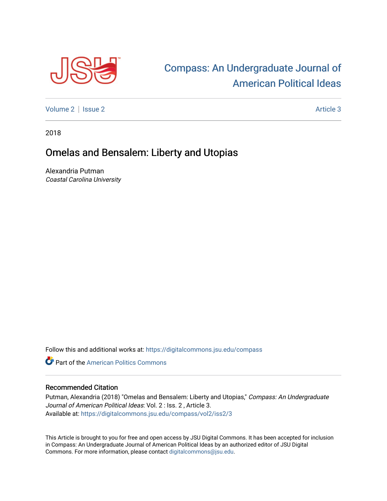

## [Compass: An Undergraduate Journal of](https://digitalcommons.jsu.edu/compass)  [American Political Ideas](https://digitalcommons.jsu.edu/compass)

[Volume 2](https://digitalcommons.jsu.edu/compass/vol2) | [Issue 2](https://digitalcommons.jsu.edu/compass/vol2/iss2) Article 3

2018

## Omelas and Bensalem: Liberty and Utopias

Alexandria Putman Coastal Carolina University

Follow this and additional works at: [https://digitalcommons.jsu.edu/compass](https://digitalcommons.jsu.edu/compass?utm_source=digitalcommons.jsu.edu%2Fcompass%2Fvol2%2Fiss2%2F3&utm_medium=PDF&utm_campaign=PDFCoverPages)

**C** Part of the American Politics Commons

## Recommended Citation

Putman, Alexandria (2018) "Omelas and Bensalem: Liberty and Utopias," Compass: An Undergraduate Journal of American Political Ideas: Vol. 2 : Iss. 2 , Article 3. Available at: [https://digitalcommons.jsu.edu/compass/vol2/iss2/3](https://digitalcommons.jsu.edu/compass/vol2/iss2/3?utm_source=digitalcommons.jsu.edu%2Fcompass%2Fvol2%2Fiss2%2F3&utm_medium=PDF&utm_campaign=PDFCoverPages)

This Article is brought to you for free and open access by JSU Digital Commons. It has been accepted for inclusion in Compass: An Undergraduate Journal of American Political Ideas by an authorized editor of JSU Digital Commons. For more information, please contact [digitalcommons@jsu.edu.](mailto:digitalcommons@jsu.edu)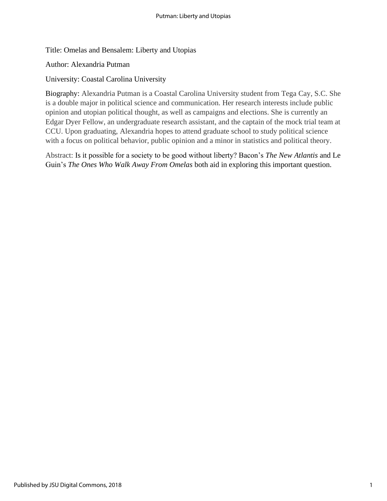Title: Omelas and Bensalem: Liberty and Utopias

Author: Alexandria Putman

University: Coastal Carolina University

Biography: Alexandria Putman is a Coastal Carolina University student from Tega Cay, S.C. She is a double major in political science and communication. Her research interests include public opinion and utopian political thought, as well as campaigns and elections. She is currently an Edgar Dyer Fellow, an undergraduate research assistant, and the captain of the mock trial team at CCU. Upon graduating, Alexandria hopes to attend graduate school to study political science with a focus on political behavior, public opinion and a minor in statistics and political theory.

Abstract: Is it possible for a society to be good without liberty? Bacon's *The New Atlantis* and Le Guin's *The Ones Who Walk Away From Omelas* both aid in exploring this important question.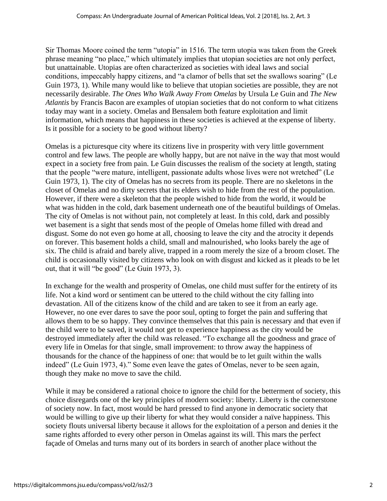Sir Thomas Moore coined the term "utopia" in 1516. The term utopia was taken from the Greek phrase meaning "no place," which ultimately implies that utopian societies are not only perfect, but unattainable. Utopias are often characterized as societies with ideal laws and social conditions, impeccably happy citizens, and "a clamor of bells that set the swallows soaring" (Le Guin 1973, 1). While many would like to believe that utopian societies are possible, they are not necessarily desirable. *The Ones Who Walk Away From Omelas* by Ursula Le Guin and *The New Atlantis* by Francis Bacon are examples of utopian societies that do not conform to what citizens today may want in a society. Omelas and Bensalem both feature exploitation and limit information, which means that happiness in these societies is achieved at the expense of liberty. Is it possible for a society to be good without liberty?

Omelas is a picturesque city where its citizens live in prosperity with very little government control and few laws. The people are wholly happy, but are not naïve in the way that most would expect in a society free from pain. Le Guin discusses the realism of the society at length, stating that the people "were mature, intelligent, passionate adults whose lives were not wretched" (Le Guin 1973, 1). The city of Omelas has no secrets from its people. There are no skeletons in the closet of Omelas and no dirty secrets that its elders wish to hide from the rest of the population. However, if there were a skeleton that the people wished to hide from the world, it would be what was hidden in the cold, dark basement underneath one of the beautiful buildings of Omelas. The city of Omelas is not without pain, not completely at least. In this cold, dark and possibly wet basement is a sight that sends most of the people of Omelas home filled with dread and disgust. Some do not even go home at all, choosing to leave the city and the atrocity it depends on forever. This basement holds a child, small and malnourished, who looks barely the age of six. The child is afraid and barely alive, trapped in a room merely the size of a broom closet. The child is occasionally visited by citizens who look on with disgust and kicked as it pleads to be let out, that it will "be good" (Le Guin 1973, 3).

In exchange for the wealth and prosperity of Omelas, one child must suffer for the entirety of its life. Not a kind word or sentiment can be uttered to the child without the city falling into devastation. All of the citizens know of the child and are taken to see it from an early age. However, no one ever dares to save the poor soul, opting to forget the pain and suffering that allows them to be so happy. They convince themselves that this pain is necessary and that even if the child were to be saved, it would not get to experience happiness as the city would be destroyed immediately after the child was released. "To exchange all the goodness and grace of every life in Omelas for that single, small improvement: to throw away the happiness of thousands for the chance of the happiness of one: that would be to let guilt within the walls indeed" (Le Guin 1973, 4)." Some even leave the gates of Omelas, never to be seen again, though they make no move to save the child.

While it may be considered a rational choice to ignore the child for the betterment of society, this choice disregards one of the key principles of modern society: liberty. Liberty is the cornerstone of society now. In fact, most would be hard pressed to find anyone in democratic society that would be willing to give up their liberty for what they would consider a naïve happiness. This society flouts universal liberty because it allows for the exploitation of a person and denies it the same rights afforded to every other person in Omelas against its will. This mars the perfect façade of Omelas and turns many out of its borders in search of another place without the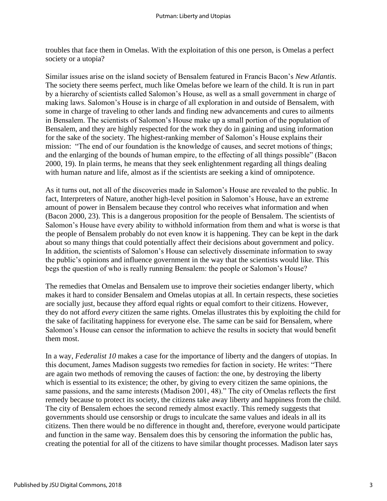troubles that face them in Omelas. With the exploitation of this one person, is Omelas a perfect society or a utopia?

Similar issues arise on the island society of Bensalem featured in Francis Bacon's *New Atlantis*. The society there seems perfect, much like Omelas before we learn of the child. It is run in part by a hierarchy of scientists called Salomon's House, as well as a small government in charge of making laws. Salomon's House is in charge of all exploration in and outside of Bensalem, with some in charge of traveling to other lands and finding new advancements and cures to ailments in Bensalem. The scientists of Salomon's House make up a small portion of the population of Bensalem, and they are highly respected for the work they do in gaining and using information for the sake of the society. The highest-ranking member of Salomon's House explains their mission: "The end of our foundation is the knowledge of causes, and secret motions of things; and the enlarging of the bounds of human empire, to the effecting of all things possible" (Bacon 2000, 19). In plain terms, he means that they seek enlightenment regarding all things dealing with human nature and life, almost as if the scientists are seeking a kind of omnipotence.

As it turns out, not all of the discoveries made in Salomon's House are revealed to the public. In fact, Interpreters of Nature, another high-level position in Salomon's House, have an extreme amount of power in Bensalem because they control who receives what information and when (Bacon 2000, 23). This is a dangerous proposition for the people of Bensalem. The scientists of Salomon's House have every ability to withhold information from them and what is worse is that the people of Bensalem probably do not even know it is happening. They can be kept in the dark about so many things that could potentially affect their decisions about government and policy. In addition, the scientists of Salomon's House can selectively disseminate information to sway the public's opinions and influence government in the way that the scientists would like. This begs the question of who is really running Bensalem: the people or Salomon's House?

The remedies that Omelas and Bensalem use to improve their societies endanger liberty, which makes it hard to consider Bensalem and Omelas utopias at all. In certain respects, these societies are socially just, because they afford equal rights or equal comfort to their citizens. However, they do not afford *every* citizen the same rights. Omelas illustrates this by exploiting the child for the sake of facilitating happiness for everyone else. The same can be said for Bensalem, where Salomon's House can censor the information to achieve the results in society that would benefit them most.

In a way, *Federalist 10* makes a case for the importance of liberty and the dangers of utopias. In this document, James Madison suggests two remedies for faction in society. He writes: "There are again two methods of removing the causes of faction: the one, by destroying the liberty which is essential to its existence; the other, by giving to every citizen the same opinions, the same passions, and the same interests (Madison 2001, 48)." The city of Omelas reflects the first remedy because to protect its society, the citizens take away liberty and happiness from the child. The city of Bensalem echoes the second remedy almost exactly. This remedy suggests that governments should use censorship or drugs to inculcate the same values and ideals in all its citizens. Then there would be no difference in thought and, therefore, everyone would participate and function in the same way. Bensalem does this by censoring the information the public has, creating the potential for all of the citizens to have similar thought processes. Madison later says